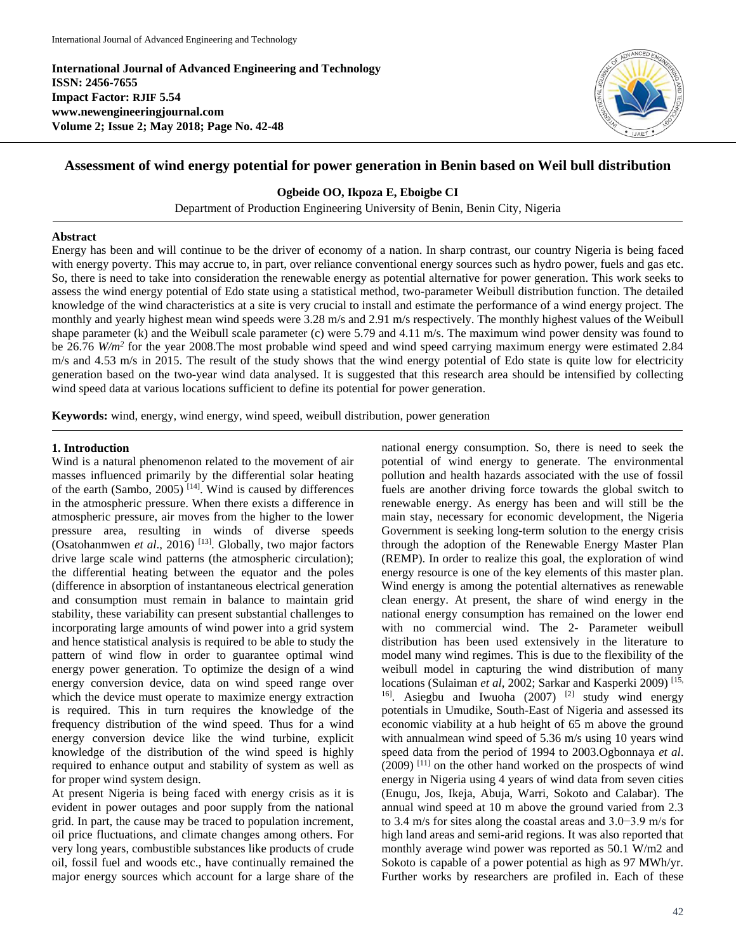**International Journal of Advanced Engineering and Technology ISSN: 2456-7655 Impact Factor: RJIF 5.54 www.newengineeringjournal.com Volume 2; Issue 2; May 2018; Page No. 42-48**



# **Assessment of wind energy potential for power generation in Benin based on Weil bull distribution**

**Ogbeide OO, Ikpoza E, Eboigbe CI**

Department of Production Engineering University of Benin, Benin City, Nigeria

#### **Abstract**

Energy has been and will continue to be the driver of economy of a nation. In sharp contrast, our country Nigeria is being faced with energy poverty. This may accrue to, in part, over reliance conventional energy sources such as hydro power, fuels and gas etc. So, there is need to take into consideration the renewable energy as potential alternative for power generation. This work seeks to assess the wind energy potential of Edo state using a statistical method, two-parameter Weibull distribution function. The detailed knowledge of the wind characteristics at a site is very crucial to install and estimate the performance of a wind energy project. The monthly and yearly highest mean wind speeds were 3.28 m/s and 2.91 m/s respectively. The monthly highest values of the Weibull shape parameter (k) and the Weibull scale parameter (c) were 5.79 and 4.11 m/s. The maximum wind power density was found to be 26.76 *W/m*<sup>2</sup> for the year 2008.The most probable wind speed and wind speed carrying maximum energy were estimated 2.84 m/s and 4.53 m/s in 2015. The result of the study shows that the wind energy potential of Edo state is quite low for electricity generation based on the two-year wind data analysed. It is suggested that this research area should be intensified by collecting wind speed data at various locations sufficient to define its potential for power generation.

**Keywords:** wind, energy, wind energy, wind speed, weibull distribution, power generation

### **1. Introduction**

Wind is a natural phenomenon related to the movement of air masses influenced primarily by the differential solar heating of the earth (Sambo, 2005)<sup>[14]</sup>. Wind is caused by differences in the atmospheric pressure. When there exists a difference in atmospheric pressure, air moves from the higher to the lower pressure area, resulting in winds of diverse speeds (Osatohanmwen et al., 2016)<sup>[13]</sup>. Globally, two major factors drive large scale wind patterns (the atmospheric circulation); the differential heating between the equator and the poles (difference in absorption of instantaneous electrical generation and consumption must remain in balance to maintain grid stability, these variability can present substantial challenges to incorporating large amounts of wind power into a grid system and hence statistical analysis is required to be able to study the pattern of wind flow in order to guarantee optimal wind energy power generation. To optimize the design of a wind energy conversion device, data on wind speed range over which the device must operate to maximize energy extraction is required. This in turn requires the knowledge of the frequency distribution of the wind speed. Thus for a wind energy conversion device like the wind turbine, explicit knowledge of the distribution of the wind speed is highly required to enhance output and stability of system as well as for proper wind system design.

At present Nigeria is being faced with energy crisis as it is evident in power outages and poor supply from the national grid. In part, the cause may be traced to population increment, oil price fluctuations, and climate changes among others. For very long years, combustible substances like products of crude oil, fossil fuel and woods etc., have continually remained the major energy sources which account for a large share of the

national energy consumption. So, there is need to seek the potential of wind energy to generate. The environmental pollution and health hazards associated with the use of fossil fuels are another driving force towards the global switch to renewable energy. As energy has been and will still be the main stay, necessary for economic development, the Nigeria Government is seeking long-term solution to the energy crisis through the adoption of the Renewable Energy Master Plan (REMP). In order to realize this goal, the exploration of wind energy resource is one of the key elements of this master plan. Wind energy is among the potential alternatives as renewable clean energy. At present, the share of wind energy in the national energy consumption has remained on the lower end with no commercial wind. The 2- Parameter weibull distribution has been used extensively in the literature to model many wind regimes. This is due to the flexibility of the weibull model in capturing the wind distribution of many locations (Sulaiman *et al*, 2002; Sarkar and Kasperki 2009) [15, <sup>16]</sup>. Asiegbu and Iwuoha  $(2007)$ <sup>[2]</sup> study wind energy potentials in Umudike, South-East of Nigeria and assessed its economic viability at a hub height of 65 m above the ground with annualmean wind speed of 5.36 m/s using 10 years wind speed data from the period of 1994 to 2003.Ogbonnaya *et al*. (2009) [11] on the other hand worked on the prospects of wind energy in Nigeria using 4 years of wind data from seven cities (Enugu, Jos, Ikeja, Abuja, Warri, Sokoto and Calabar). The annual wind speed at 10 m above the ground varied from 2.3 to 3.4 m/s for sites along the coastal areas and 3.0−3.9 m/s for high land areas and semi-arid regions. It was also reported that monthly average wind power was reported as 50.1 W/m2 and Sokoto is capable of a power potential as high as 97 MWh/yr. Further works by researchers are profiled in. Each of these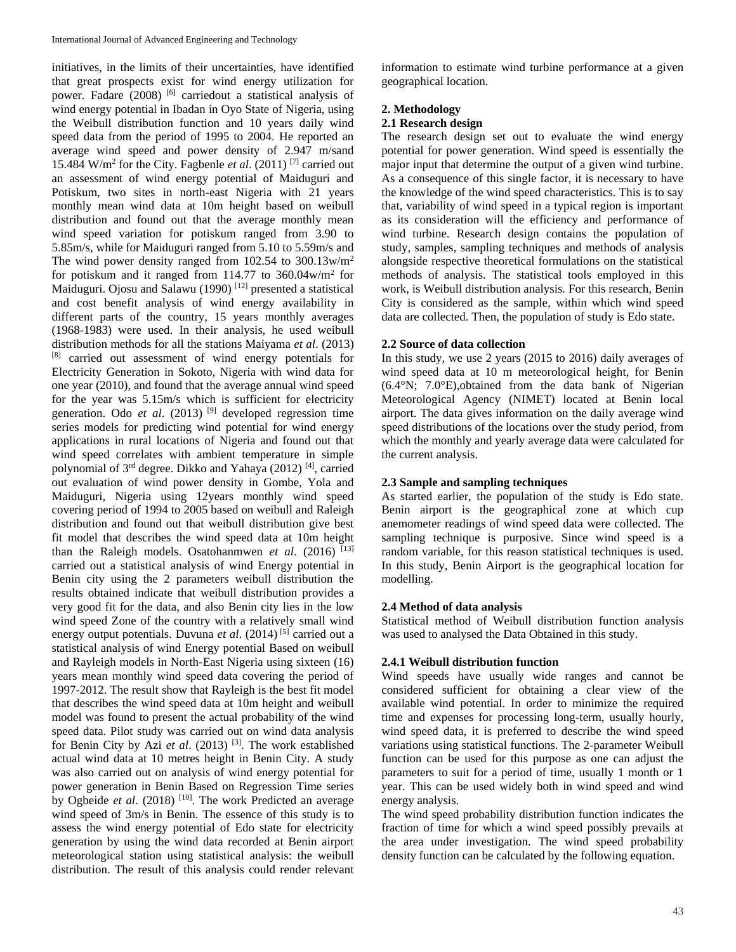initiatives, in the limits of their uncertainties, have identified that great prospects exist for wind energy utilization for power. Fadare (2008)<sup>[6]</sup> carriedout a statistical analysis of wind energy potential in Ibadan in Oyo State of Nigeria, using the Weibull distribution function and 10 years daily wind speed data from the period of 1995 to 2004. He reported an average wind speed and power density of 2.947 m/sand 15.484 W/m<sup>2</sup> for the City. Fagbenle *et al*. (2011) [7] carried out an assessment of wind energy potential of Maiduguri and Potiskum, two sites in north-east Nigeria with 21 years monthly mean wind data at 10m height based on weibull distribution and found out that the average monthly mean wind speed variation for potiskum ranged from 3.90 to 5.85m/s, while for Maiduguri ranged from 5.10 to 5.59m/s and The wind power density ranged from 102.54 to 300.13w/m<sup>2</sup> for potiskum and it ranged from 114.77 to 360.04w/m<sup>2</sup> for Maiduguri. Ojosu and Salawu (1990)<sup>[12]</sup> presented a statistical and cost benefit analysis of wind energy availability in different parts of the country, 15 years monthly averages (1968-1983) were used. In their analysis, he used weibull distribution methods for all the stations Maiyama *et al*. (2013) [8] carried out assessment of wind energy potentials for Electricity Generation in Sokoto, Nigeria with wind data for one year (2010), and found that the average annual wind speed for the year was 5.15m/s which is sufficient for electricity generation. Odo *et al.* (2013)<sup>[9]</sup> developed regression time series models for predicting wind potential for wind energy applications in rural locations of Nigeria and found out that wind speed correlates with ambient temperature in simple polynomial of 3<sup>rd</sup> degree. Dikko and Yahaya (2012)<sup>[4]</sup>, carried out evaluation of wind power density in Gombe, Yola and Maiduguri, Nigeria using 12years monthly wind speed covering period of 1994 to 2005 based on weibull and Raleigh distribution and found out that weibull distribution give best fit model that describes the wind speed data at 10m height than the Raleigh models. Osatohanmwen *et al*. (2016) [13] carried out a statistical analysis of wind Energy potential in Benin city using the 2 parameters weibull distribution the results obtained indicate that weibull distribution provides a very good fit for the data, and also Benin city lies in the low wind speed Zone of the country with a relatively small wind energy output potentials. Duvuna et al. (2014)<sup>[5]</sup> carried out a statistical analysis of wind Energy potential Based on weibull and Rayleigh models in North-East Nigeria using sixteen (16) years mean monthly wind speed data covering the period of 1997-2012. The result show that Rayleigh is the best fit model that describes the wind speed data at 10m height and weibull model was found to present the actual probability of the wind speed data. Pilot study was carried out on wind data analysis for Benin City by Azi *et al*. (2013) [3] . The work established actual wind data at 10 metres height in Benin City. A study was also carried out on analysis of wind energy potential for power generation in Benin Based on Regression Time series by Ogbeide et al. (2018)<sup>[10]</sup>. The work Predicted an average wind speed of 3m/s in Benin. The essence of this study is to assess the wind energy potential of Edo state for electricity generation by using the wind data recorded at Benin airport meteorological station using statistical analysis: the weibull distribution. The result of this analysis could render relevant

information to estimate wind turbine performance at a given geographical location.

### **2. Methodology**

### **2.1 Research design**

The research design set out to evaluate the wind energy potential for power generation. Wind speed is essentially the major input that determine the output of a given wind turbine. As a consequence of this single factor, it is necessary to have the knowledge of the wind speed characteristics. This is to say that, variability of wind speed in a typical region is important as its consideration will the efficiency and performance of wind turbine. Research design contains the population of study, samples, sampling techniques and methods of analysis alongside respective theoretical formulations on the statistical methods of analysis. The statistical tools employed in this work, is Weibull distribution analysis. For this research, Benin City is considered as the sample, within which wind speed data are collected. Then, the population of study is Edo state.

## **2.2 Source of data collection**

In this study, we use 2 years (2015 to 2016) daily averages of wind speed data at 10 m meteorological height, for Benin (6.4°N; 7.0°E),obtained from the data bank of Nigerian Meteorological Agency (NIMET) located at Benin local airport. The data gives information on the daily average wind speed distributions of the locations over the study period, from which the monthly and yearly average data were calculated for the current analysis.

# **2.3 Sample and sampling techniques**

As started earlier, the population of the study is Edo state. Benin airport is the geographical zone at which cup anemometer readings of wind speed data were collected. The sampling technique is purposive. Since wind speed is a random variable, for this reason statistical techniques is used. In this study, Benin Airport is the geographical location for modelling.

# **2.4 Method of data analysis**

Statistical method of Weibull distribution function analysis was used to analysed the Data Obtained in this study.

## **2.4.1 Weibull distribution function**

Wind speeds have usually wide ranges and cannot be considered sufficient for obtaining a clear view of the available wind potential. In order to minimize the required time and expenses for processing long-term, usually hourly, wind speed data, it is preferred to describe the wind speed variations using statistical functions. The 2-parameter Weibull function can be used for this purpose as one can adjust the parameters to suit for a period of time, usually 1 month or 1 year. This can be used widely both in wind speed and wind energy analysis.

The wind speed probability distribution function indicates the fraction of time for which a wind speed possibly prevails at the area under investigation. The wind speed probability density function can be calculated by the following equation.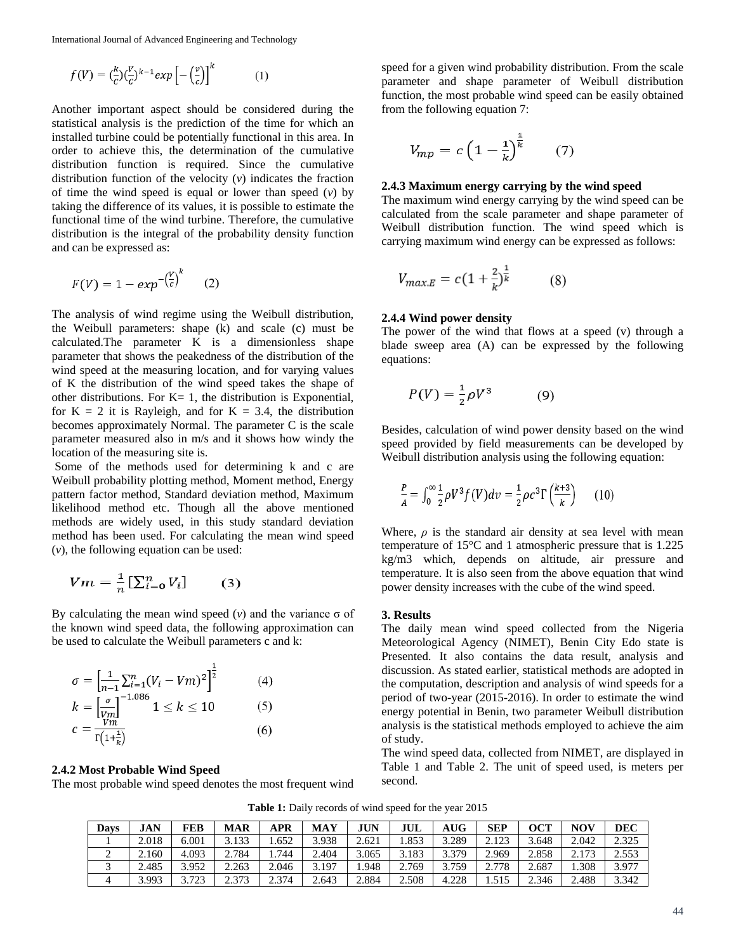International Journal of Advanced Engineering and Technology

$$
f(V) = \left(\frac{k}{c}\right)\left(\frac{V}{c}\right)^{k-1} \exp\left[-\left(\frac{v}{c}\right)\right]^k \tag{1}
$$

Another important aspect should be considered during the statistical analysis is the prediction of the time for which an installed turbine could be potentially functional in this area. In order to achieve this, the determination of the cumulative distribution function is required. Since the cumulative distribution function of the velocity (*v*) indicates the fraction of time the wind speed is equal or lower than speed (*v*) by taking the difference of its values, it is possible to estimate the functional time of the wind turbine. Therefore, the cumulative distribution is the integral of the probability density function and can be expressed as:

$$
F(V) = 1 - exp^{-\left(\frac{V}{c}\right)^k} \qquad (2)
$$

The analysis of wind regime using the Weibull distribution, the Weibull parameters: shape (k) and scale (c) must be calculated.The parameter  $\overline{K}$  is a dimensionless shape parameter that shows the peakedness of the distribution of the wind speed at the measuring location, and for varying values of K the distribution of the wind speed takes the shape of other distributions. For  $K=1$ , the distribution is Exponential, for  $K = 2$  it is Rayleigh, and for  $K = 3.4$ , the distribution becomes approximately Normal. The parameter C is the scale parameter measured also in m/s and it shows how windy the location of the measuring site is.

Some of the methods used for determining k and c are Weibull probability plotting method, Moment method, Energy pattern factor method, Standard deviation method, Maximum likelihood method etc. Though all the above mentioned methods are widely used, in this study standard deviation method has been used. For calculating the mean wind speed (*v*), the following equation can be used:

$$
Vm = \frac{1}{n} \left[ \sum_{i=0}^{n} V_i \right] \qquad (3)
$$

By calculating the mean wind speed  $(v)$  and the variance  $\sigma$  of the known wind speed data, the following approximation can be used to calculate the Weibull parameters c and k:

$$
\sigma = \left[\frac{1}{n-1} \sum_{i=1}^{n} (V_i - Vm)^2\right]^{\frac{1}{2}} \qquad (4)
$$
  
\n
$$
k = \left[\frac{\sigma}{Vm}\right]^{-1.086} 1 \le k \le 10 \qquad (5)
$$
  
\n
$$
c = \frac{Vm}{\Gamma(1 + \frac{1}{k})} \qquad (6)
$$

#### **2.4.2 Most Probable Wind Speed**

The most probable wind speed denotes the most frequent wind

speed for a given wind probability distribution. From the scale parameter and shape parameter of Weibull distribution function, the most probable wind speed can be easily obtained from the following equation 7:

$$
V_{mp} = c \left(1 - \frac{1}{k}\right)^{\frac{1}{k}} \qquad (7)
$$

#### **2.4.3 Maximum energy carrying by the wind speed**

The maximum wind energy carrying by the wind speed can be calculated from the scale parameter and shape parameter of Weibull distribution function. The wind speed which is carrying maximum wind energy can be expressed as follows:

$$
V_{max,E} = c \left( 1 + \frac{2}{k} \right)^{\frac{1}{k}} \tag{8}
$$

### **2.4.4 Wind power density**

The power of the wind that flows at a speed (v) through a blade sweep area (A) can be expressed by the following equations:

$$
P(V) = \frac{1}{2}\rho V^3 \tag{9}
$$

Besides, calculation of wind power density based on the wind speed provided by field measurements can be developed by Weibull distribution analysis using the following equation:

$$
\frac{P}{A} = \int_0^\infty \frac{1}{2} \rho V^3 f(V) dv = \frac{1}{2} \rho c^3 \Gamma \left( \frac{k+3}{k} \right) \tag{10}
$$

Where,  $\rho$  is the standard air density at sea level with mean temperature of 15°C and 1 atmospheric pressure that is 1.225 kg/m3 which, depends on altitude, air pressure and temperature. It is also seen from the above equation that wind power density increases with the cube of the wind speed.

#### **3. Results**

The daily mean wind speed collected from the Nigeria Meteorological Agency (NIMET), Benin City Edo state is Presented. It also contains the data result, analysis and discussion. As stated earlier, statistical methods are adopted in the computation, description and analysis of wind speeds for a period of two-year (2015-2016). In order to estimate the wind energy potential in Benin, two parameter Weibull distribution analysis is the statistical methods employed to achieve the aim of study.

The wind speed data, collected from NIMET, are displayed in Table 1 and Table 2. The unit of speed used, is meters per second.

Table 1: Daily records of wind speed for the year 2015

| Davs | <b>JAN</b> | FEB   | MAR   | APR   | <b>MAY</b> | <b>JUN</b> | JUL   | AUG-  | <b>SEP</b> | OCT   | <b>NOV</b> | <b>DEC</b> |
|------|------------|-------|-------|-------|------------|------------|-------|-------|------------|-------|------------|------------|
|      | 2.018      | 6.001 | 3.133 | .652  | 3.938      | 2.621      | 1.853 | 3.289 | 2.123      | 3.648 | 2.042      | 2.325      |
| ∸    | 2.160      | 4.093 | 2.784 | .744  | 2.404      | 3.065      | 3.183 | 3.379 | 2.969      | 2.858 | 2.173      | 2.553      |
|      | 2.485      | 3.952 | 2.263 | 2.046 | 3.197      | l.948      | 2.769 | 3.759 | 2.778      | 2.687 | 1.308      | 3.977      |
|      | 3.993      | 3.723 | 2.373 | 2.374 | 2.643      | 2.884      | 2.508 | 4.228 | 1.515      | 2.346 | 2.488      | 3.342      |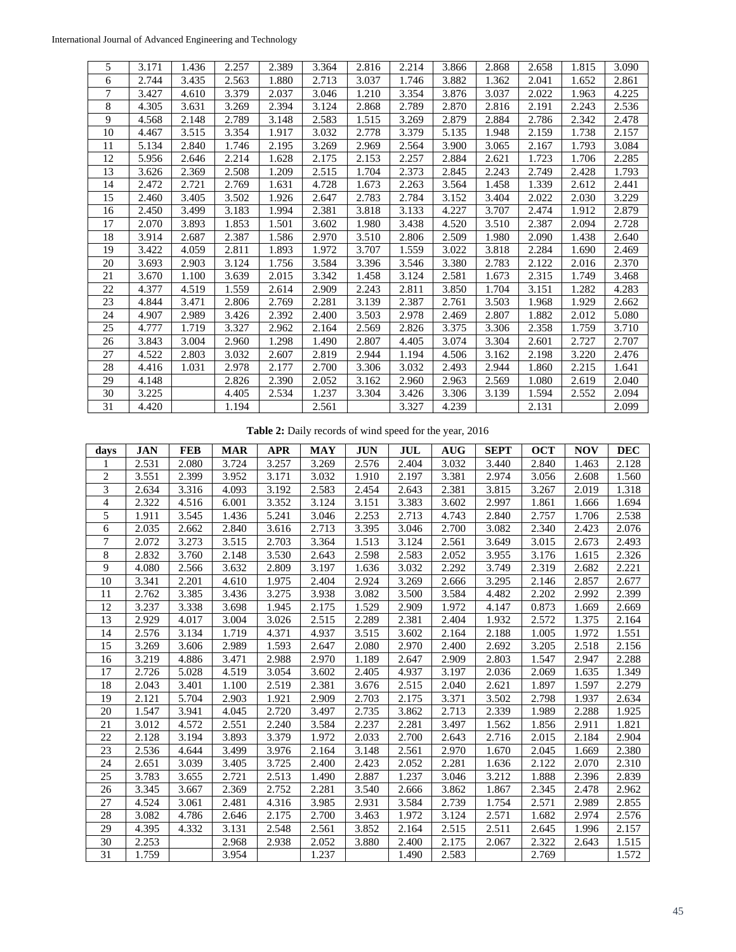| 5  | 3.171 | 1.436 | 2.257 | 2.389 | 3.364 | 2.816 | 2.214 | 3.866 | 2.868 | 2.658 | 1.815 | 3.090 |
|----|-------|-------|-------|-------|-------|-------|-------|-------|-------|-------|-------|-------|
| 6  | 2.744 | 3.435 | 2.563 | 1.880 | 2.713 | 3.037 | 1.746 | 3.882 | 1.362 | 2.041 | 1.652 | 2.861 |
| 7  | 3.427 | 4.610 | 3.379 | 2.037 | 3.046 | 1.210 | 3.354 | 3.876 | 3.037 | 2.022 | 1.963 | 4.225 |
| 8  | 4.305 | 3.631 | 3.269 | 2.394 | 3.124 | 2.868 | 2.789 | 2.870 | 2.816 | 2.191 | 2.243 | 2.536 |
| 9  | 4.568 | 2.148 | 2.789 | 3.148 | 2.583 | 1.515 | 3.269 | 2.879 | 2.884 | 2.786 | 2.342 | 2.478 |
| 10 | 4.467 | 3.515 | 3.354 | 1.917 | 3.032 | 2.778 | 3.379 | 5.135 | 1.948 | 2.159 | 1.738 | 2.157 |
| 11 | 5.134 | 2.840 | 1.746 | 2.195 | 3.269 | 2.969 | 2.564 | 3.900 | 3.065 | 2.167 | 1.793 | 3.084 |
| 12 | 5.956 | 2.646 | 2.214 | 1.628 | 2.175 | 2.153 | 2.257 | 2.884 | 2.621 | 1.723 | 1.706 | 2.285 |
| 13 | 3.626 | 2.369 | 2.508 | 1.209 | 2.515 | 1.704 | 2.373 | 2.845 | 2.243 | 2.749 | 2.428 | 1.793 |
| 14 | 2.472 | 2.721 | 2.769 | 1.631 | 4.728 | 1.673 | 2.263 | 3.564 | 1.458 | 1.339 | 2.612 | 2.441 |
| 15 | 2.460 | 3.405 | 3.502 | 1.926 | 2.647 | 2.783 | 2.784 | 3.152 | 3.404 | 2.022 | 2.030 | 3.229 |
| 16 | 2.450 | 3.499 | 3.183 | 1.994 | 2.381 | 3.818 | 3.133 | 4.227 | 3.707 | 2.474 | 1.912 | 2.879 |
| 17 | 2.070 | 3.893 | 1.853 | 1.501 | 3.602 | 1.980 | 3.438 | 4.520 | 3.510 | 2.387 | 2.094 | 2.728 |
| 18 | 3.914 | 2.687 | 2.387 | 1.586 | 2.970 | 3.510 | 2.806 | 2.509 | 1.980 | 2.090 | 1.438 | 2.640 |
| 19 | 3.422 | 4.059 | 2.811 | 1.893 | 1.972 | 3.707 | 1.559 | 3.022 | 3.818 | 2.284 | 1.690 | 2.469 |
| 20 | 3.693 | 2.903 | 3.124 | 1.756 | 3.584 | 3.396 | 3.546 | 3.380 | 2.783 | 2.122 | 2.016 | 2.370 |
| 21 | 3.670 | 1.100 | 3.639 | 2.015 | 3.342 | 1.458 | 3.124 | 2.581 | 1.673 | 2.315 | 1.749 | 3.468 |
| 22 | 4.377 | 4.519 | 1.559 | 2.614 | 2.909 | 2.243 | 2.811 | 3.850 | 1.704 | 3.151 | 1.282 | 4.283 |
| 23 | 4.844 | 3.471 | 2.806 | 2.769 | 2.281 | 3.139 | 2.387 | 2.761 | 3.503 | 1.968 | 1.929 | 2.662 |
| 24 | 4.907 | 2.989 | 3.426 | 2.392 | 2.400 | 3.503 | 2.978 | 2.469 | 2.807 | 1.882 | 2.012 | 5.080 |
| 25 | 4.777 | 1.719 | 3.327 | 2.962 | 2.164 | 2.569 | 2.826 | 3.375 | 3.306 | 2.358 | 1.759 | 3.710 |
| 26 | 3.843 | 3.004 | 2.960 | 1.298 | 1.490 | 2.807 | 4.405 | 3.074 | 3.304 | 2.601 | 2.727 | 2.707 |
| 27 | 4.522 | 2.803 | 3.032 | 2.607 | 2.819 | 2.944 | 1.194 | 4.506 | 3.162 | 2.198 | 3.220 | 2.476 |
| 28 | 4.416 | 1.031 | 2.978 | 2.177 | 2.700 | 3.306 | 3.032 | 2.493 | 2.944 | 1.860 | 2.215 | 1.641 |
| 29 | 4.148 |       | 2.826 | 2.390 | 2.052 | 3.162 | 2.960 | 2.963 | 2.569 | 1.080 | 2.619 | 2.040 |
| 30 | 3.225 |       | 4.405 | 2.534 | 1.237 | 3.304 | 3.426 | 3.306 | 3.139 | 1.594 | 2.552 | 2.094 |
| 31 | 4.420 |       | 1.194 |       | 2.561 |       | 3.327 | 4.239 |       | 2.131 |       | 2.099 |

**Table 2:** Daily records of wind speed for the year, 2016

| days | <b>JAN</b> | <b>FEB</b> | <b>MAR</b> | <b>APR</b> | <b>MAY</b> | <b>JUN</b> | <b>JUL</b> | <b>AUG</b> | <b>SEPT</b> | <b>OCT</b> | <b>NOV</b> | <b>DEC</b> |
|------|------------|------------|------------|------------|------------|------------|------------|------------|-------------|------------|------------|------------|
|      | 2.531      | 2.080      | 3.724      | 3.257      | 3.269      | 2.576      | 2.404      | 3.032      | 3.440       | 2.840      | 1.463      | 2.128      |
| 2    | 3.551      | 2.399      | 3.952      | 3.171      | 3.032      | 1.910      | 2.197      | 3.381      | 2.974       | 3.056      | 2.608      | 1.560      |
| 3    | 2.634      | 3.316      | 4.093      | 3.192      | 2.583      | 2.454      | 2.643      | 2.381      | 3.815       | 3.267      | 2.019      | 1.318      |
| 4    | 2.322      | 4.516      | 6.001      | 3.352      | 3.124      | 3.151      | 3.383      | 3.602      | 2.997       | 1.861      | 1.666      | 1.694      |
| 5    | 1.911      | 3.545      | 1.436      | 5.241      | 3.046      | 2.253      | 2.713      | 4.743      | 2.840       | 2.757      | 1.706      | 2.538      |
| 6    | 2.035      | 2.662      | 2.840      | 3.616      | 2.713      | 3.395      | 3.046      | 2.700      | 3.082       | 2.340      | 2.423      | 2.076      |
| 7    | 2.072      | 3.273      | 3.515      | 2.703      | 3.364      | 1.513      | 3.124      | 2.561      | 3.649       | 3.015      | 2.673      | 2.493      |
| 8    | 2.832      | 3.760      | 2.148      | 3.530      | 2.643      | 2.598      | 2.583      | 2.052      | 3.955       | 3.176      | 1.615      | 2.326      |
| 9    | 4.080      | 2.566      | 3.632      | 2.809      | 3.197      | 1.636      | 3.032      | 2.292      | 3.749       | 2.319      | 2.682      | 2.221      |
| 10   | 3.341      | 2.201      | 4.610      | 1.975      | 2.404      | 2.924      | 3.269      | 2.666      | 3.295       | 2.146      | 2.857      | 2.677      |
| 11   | 2.762      | 3.385      | 3.436      | 3.275      | 3.938      | 3.082      | 3.500      | 3.584      | 4.482       | 2.202      | 2.992      | 2.399      |
| 12   | 3.237      | 3.338      | 3.698      | 1.945      | 2.175      | 1.529      | 2.909      | 1.972      | 4.147       | 0.873      | 1.669      | 2.669      |
| 13   | 2.929      | 4.017      | 3.004      | 3.026      | 2.515      | 2.289      | 2.381      | 2.404      | 1.932       | 2.572      | 1.375      | 2.164      |
| 14   | 2.576      | 3.134      | 1.719      | 4.371      | 4.937      | 3.515      | 3.602      | 2.164      | 2.188       | 1.005      | 1.972      | 1.551      |
| 15   | 3.269      | 3.606      | 2.989      | 1.593      | 2.647      | 2.080      | 2.970      | 2.400      | 2.692       | 3.205      | 2.518      | 2.156      |
| 16   | 3.219      | 4.886      | 3.471      | 2.988      | 2.970      | 1.189      | 2.647      | 2.909      | 2.803       | 1.547      | 2.947      | 2.288      |
| 17   | 2.726      | 5.028      | 4.519      | 3.054      | 3.602      | 2.405      | 4.937      | 3.197      | 2.036       | 2.069      | 1.635      | 1.349      |
| 18   | 2.043      | 3.401      | 1.100      | 2.519      | 2.381      | 3.676      | 2.515      | 2.040      | 2.621       | 1.897      | 1.597      | 2.279      |
| 19   | 2.121      | 5.704      | 2.903      | 1.921      | 2.909      | 2.703      | 2.175      | 3.371      | 3.502       | 2.798      | 1.937      | 2.634      |
| 20   | 1.547      | 3.941      | 4.045      | 2.720      | 3.497      | 2.735      | 3.862      | 2.713      | 2.339       | 1.989      | 2.288      | 1.925      |
| 21   | 3.012      | 4.572      | 2.551      | 2.240      | 3.584      | 2.237      | 2.281      | 3.497      | 1.562       | 1.856      | 2.911      | 1.821      |
| 22   | 2.128      | 3.194      | 3.893      | 3.379      | 1.972      | 2.033      | 2.700      | 2.643      | 2.716       | 2.015      | 2.184      | 2.904      |
| 23   | 2.536      | 4.644      | 3.499      | 3.976      | 2.164      | 3.148      | 2.561      | 2.970      | 1.670       | 2.045      | 1.669      | 2.380      |
| 24   | 2.651      | 3.039      | 3.405      | 3.725      | 2.400      | 2.423      | 2.052      | 2.281      | 1.636       | 2.122      | 2.070      | 2.310      |
| 25   | 3.783      | 3.655      | 2.721      | 2.513      | 1.490      | 2.887      | 1.237      | 3.046      | 3.212       | 1.888      | 2.396      | 2.839      |
| 26   | 3.345      | 3.667      | 2.369      | 2.752      | 2.281      | 3.540      | 2.666      | 3.862      | 1.867       | 2.345      | 2.478      | 2.962      |
| 27   | 4.524      | 3.061      | 2.481      | 4.316      | 3.985      | 2.931      | 3.584      | 2.739      | 1.754       | 2.571      | 2.989      | 2.855      |
| 28   | 3.082      | 4.786      | 2.646      | 2.175      | 2.700      | 3.463      | 1.972      | 3.124      | 2.571       | 1.682      | 2.974      | 2.576      |
| 29   | 4.395      | 4.332      | 3.131      | 2.548      | 2.561      | 3.852      | 2.164      | 2.515      | 2.511       | 2.645      | 1.996      | 2.157      |
| 30   | 2.253      |            | 2.968      | 2.938      | 2.052      | 3.880      | 2.400      | 2.175      | 2.067       | 2.322      | 2.643      | 1.515      |
| 31   | 1.759      |            | 3.954      |            | 1.237      |            | 1.490      | 2.583      |             | 2.769      |            | 1.572      |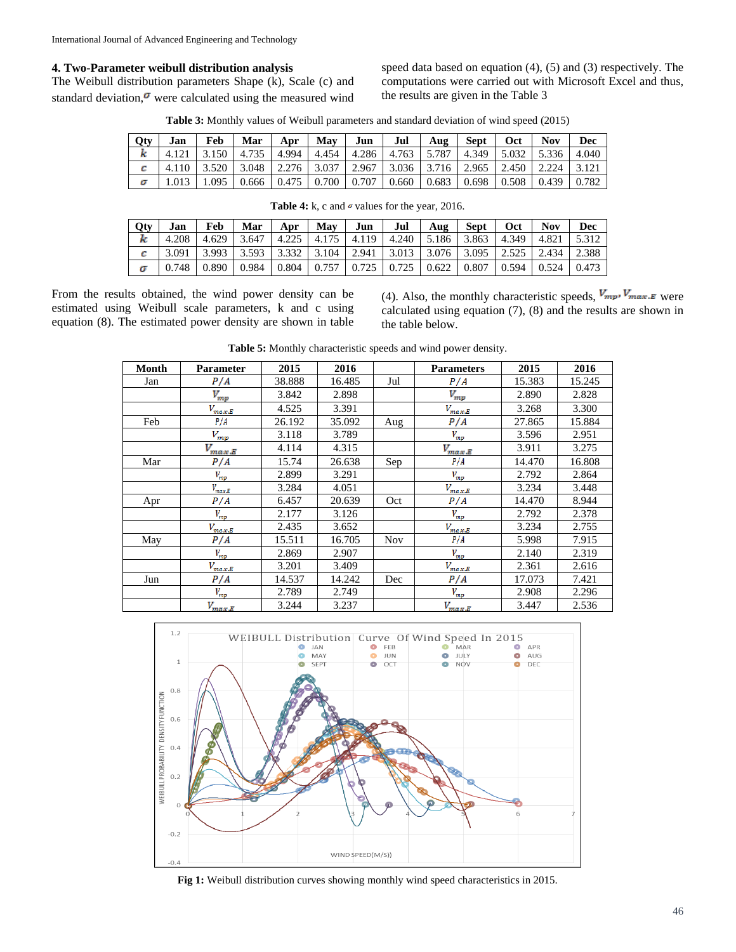### **4. Two-Parameter weibull distribution analysis**

The Weibull distribution parameters Shape (k), Scale (c) and standard deviation, $\sigma$  were calculated using the measured wind

speed data based on equation (4), (5) and (3) respectively. The computations were carried out with Microsoft Excel and thus, the results are given in the Table 3

**Table 3:** Monthly values of Weibull parameters and standard deviation of wind speed (2015)

| Qty | Jan        | Feb   | Mar   | Apr   | Mav   | Jun   | Jul   | Aug   | <b>Sept</b> | Oct   | <b>Nov</b> | Dec   |
|-----|------------|-------|-------|-------|-------|-------|-------|-------|-------------|-------|------------|-------|
| ĸ   |            | 3.150 | 4.735 | 4.994 | 4.454 | 4.286 | 4.763 | 5.787 | 4.349       | 5.032 | 5.336      | 4.040 |
| с   | 110<br>4.1 | 3.520 | 3.048 | 2.276 | 3.037 | 2.967 | 3.036 | 3.716 | 2.965       | 2.450 | 2.224      |       |
|     |            | .095  | 0.666 | 0.475 | 0.700 | 0.707 | 0.660 | 0.683 | 0.698       | 0.508 | 0.439      | 0.782 |

| Qty | Jan |  |  | Feb   Mar   Apr   May   Jun   Jul   Aug   Sept   Oct   Nov                                                                                                  |  |  | Dec |
|-----|-----|--|--|-------------------------------------------------------------------------------------------------------------------------------------------------------------|--|--|-----|
| k   |     |  |  | 4.208   4.629   3.647   4.225   4.175   4.119   4.240   5.186   3.863   4.349   4.821   5.312                                                               |  |  |     |
| c.  |     |  |  | $\mid$ 3.091 $\mid$ 3.993 $\mid$ 3.593 $\mid$ 3.332 $\mid$ 3.104 $\mid$ 2.941 $\mid$ 3.013 $\mid$ 3.076 $\mid$ 3.095 $\mid$ 2.525 $\mid$ 2.434 $\mid$ 2.388 |  |  |     |
|     |     |  |  | $0.748$   0.890   0.984   0.804   0.757   0.725   0.725   0.622   0.807   0.594   0.524   0.473                                                             |  |  |     |

**Table 4:** k, c and  $\sigma$  values for the year, 2016.

|  | From the results obtained, the wind power density can be     |  |  |  |  |
|--|--------------------------------------------------------------|--|--|--|--|
|  | estimated using Weibull scale parameters, k and c using      |  |  |  |  |
|  | equation (8). The estimated power density are shown in table |  |  |  |  |

(4). Also, the monthly characteristic speeds,  $V_{mp}$ ,  $V_{max,E}$  were calculated using equation (7), (8) and the results are shown in the table below.

| Month | <b>Parameter</b>              | 2015   | 2016   |            | <b>Parameters</b> | 2015   | 2016   |
|-------|-------------------------------|--------|--------|------------|-------------------|--------|--------|
| Jan   | P/A                           | 38.888 | 16.485 | Jul        | P/A               | 15.383 | 15.245 |
|       | $V_{mp}$                      | 3.842  | 2.898  |            | $V_{mp}$          | 2.890  | 2.828  |
|       | $V_{max,E}$                   | 4.525  | 3.391  |            | $V_{max,E}$       | 3.268  | 3.300  |
| Feb   | P/A                           | 26.192 | 35.092 | Aug        | P/A               | 27.865 | 15.884 |
|       | $V_{mp}$                      | 3.118  | 3.789  |            | $V_{mp}$          | 3.596  | 2.951  |
|       | $V_{max,E}$                   | 4.114  | 4.315  |            | $V_{max,E}$       | 3.911  | 3.275  |
| Mar   | P/A                           | 15.74  | 26.638 | Sep        | P/A               | 14.470 | 16.808 |
|       | $V_{\ensuremath{m p}\xspace}$ | 2.899  | 3.291  |            | $V_{mp}$          | 2.792  | 2.864  |
|       | $V_{max,E}$                   | 3.284  | 4.051  |            | $V_{max,E}$       | 3.234  | 3.448  |
| Apr   | P/A                           | 6.457  | 20.639 | Oct        | P/A               | 14.470 | 8.944  |
|       | $V_{mp}$                      | 2.177  | 3.126  |            | $V_{mp}$          | 2.792  | 2.378  |
|       | $V_{max,E}$                   | 2.435  | 3.652  |            | $V_{max,E}$       | 3.234  | 2.755  |
| May   | P/A                           | 15.511 | 16.705 | <b>Nov</b> | P/A               | 5.998  | 7.915  |
|       | $V_{mp}$                      | 2.869  | 2.907  |            | $V_{mp}$          | 2.140  | 2.319  |
|       | $V_{max,E}$                   | 3.201  | 3.409  |            | $V_{max,E}$       | 2.361  | 2.616  |
| Jun   | P/A                           | 14.537 | 14.242 | Dec        | P/A               | 17.073 | 7.421  |
|       | $V_{mp}$                      | 2.789  | 2.749  |            | $V_{mp}$          | 2.908  | 2.296  |
|       | $V_{max,E}$                   | 3.244  | 3.237  |            | $V_{max,E}$       | 3.447  | 2.536  |

**Table 5:** Monthly characteristic speeds and wind power density.



**Fig 1:** Weibull distribution curves showing monthly wind speed characteristics in 2015.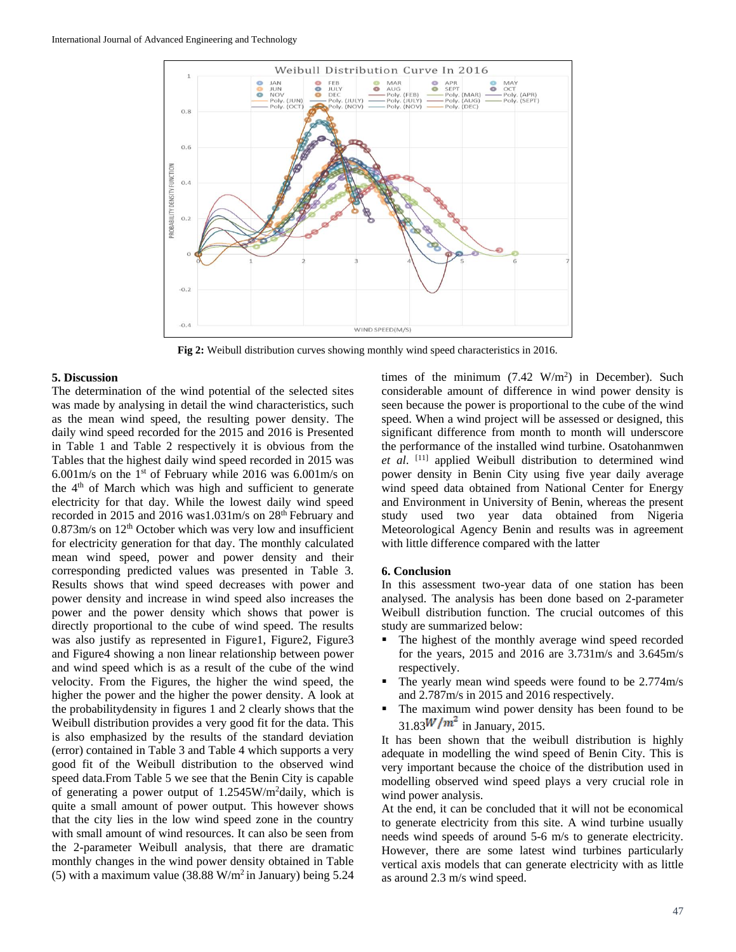

**Fig 2:** Weibull distribution curves showing monthly wind speed characteristics in 2016.

### **5. Discussion**

The determination of the wind potential of the selected sites was made by analysing in detail the wind characteristics, such as the mean wind speed, the resulting power density. The daily wind speed recorded for the 2015 and 2016 is Presented in Table 1 and Table 2 respectively it is obvious from the Tables that the highest daily wind speed recorded in 2015 was 6.001m/s on the 1<sup>st</sup> of February while 2016 was 6.001m/s on the  $4<sup>th</sup>$  of March which was high and sufficient to generate electricity for that day. While the lowest daily wind speed recorded in 2015 and 2016 was1.031m/s on 28<sup>th</sup> February and  $0.873$ m/s on  $12<sup>th</sup>$  October which was very low and insufficient for electricity generation for that day. The monthly calculated mean wind speed, power and power density and their corresponding predicted values was presented in Table 3. Results shows that wind speed decreases with power and power density and increase in wind speed also increases the power and the power density which shows that power is directly proportional to the cube of wind speed. The results was also justify as represented in Figure1, Figure2, Figure3 and Figure4 showing a non linear relationship between power and wind speed which is as a result of the cube of the wind velocity. From the Figures, the higher the wind speed, the higher the power and the higher the power density. A look at the probabilitydensity in figures 1 and 2 clearly shows that the Weibull distribution provides a very good fit for the data. This is also emphasized by the results of the standard deviation (error) contained in Table 3 and Table 4 which supports a very good fit of the Weibull distribution to the observed wind speed data.From Table 5 we see that the Benin City is capable of generating a power output of 1.2545W/m<sup>2</sup>daily, which is quite a small amount of power output. This however shows that the city lies in the low wind speed zone in the country with small amount of wind resources. It can also be seen from the 2-parameter Weibull analysis, that there are dramatic monthly changes in the wind power density obtained in Table (5) with a maximum value (38.88 W/m<sup>2</sup> in January) being  $5.24$ 

times of the minimum  $(7.42 \text{ W/m}^2)$  in December). Such considerable amount of difference in wind power density is seen because the power is proportional to the cube of the wind speed. When a wind project will be assessed or designed, this significant difference from month to month will underscore the performance of the installed wind turbine. Osatohanmwen *et al*. [11] applied Weibull distribution to determined wind power density in Benin City using five year daily average wind speed data obtained from National Center for Energy and Environment in University of Benin, whereas the present study used two year data obtained from Nigeria Meteorological Agency Benin and results was in agreement with little difference compared with the latter

#### **6. Conclusion**

In this assessment two-year data of one station has been analysed. The analysis has been done based on 2-parameter Weibull distribution function. The crucial outcomes of this study are summarized below:

- The highest of the monthly average wind speed recorded for the years, 2015 and 2016 are 3.731m/s and 3.645m/s respectively.
- The yearly mean wind speeds were found to be 2.774m/s and 2.787m/s in 2015 and 2016 respectively.
- The maximum wind power density has been found to be  $31.83$ <sup>W/m<sup>2</sup> in January, 2015.</sup>

It has been shown that the weibull distribution is highly adequate in modelling the wind speed of Benin City. This is very important because the choice of the distribution used in modelling observed wind speed plays a very crucial role in wind power analysis.

At the end, it can be concluded that it will not be economical to generate electricity from this site. A wind turbine usually needs wind speeds of around 5-6 m/s to generate electricity. However, there are some latest wind turbines particularly vertical axis models that can generate electricity with as little as around 2.3 m/s wind speed.